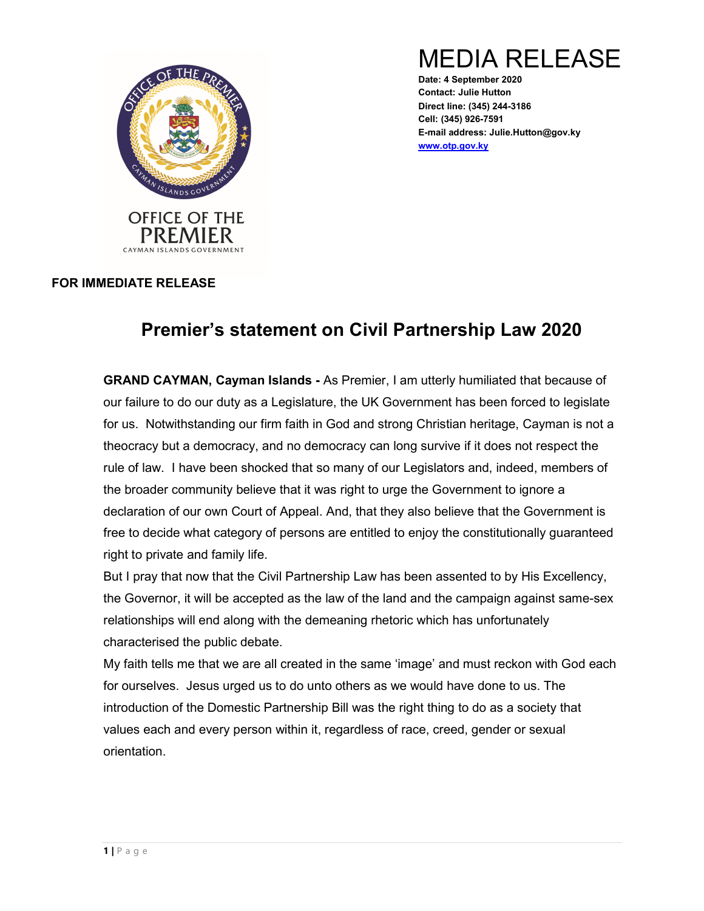

MEDIA RELEASE

Date: 4 September 2020 Contact: Julie Hutton Direct line: (345) 244-3186 Cell: (345) 926-7591 E-mail address: Julie.Hutton@gov.ky www.otp.gov.ky

## FOR IMMEDIATE RELEASE

## Premier's statement on Civil Partnership Law 2020

GRAND CAYMAN, Cayman Islands - As Premier, I am utterly humiliated that because of our failure to do our duty as a Legislature, the UK Government has been forced to legislate for us. Notwithstanding our firm faith in God and strong Christian heritage, Cayman is not a theocracy but a democracy, and no democracy can long survive if it does not respect the rule of law. I have been shocked that so many of our Legislators and, indeed, members of the broader community believe that it was right to urge the Government to ignore a declaration of our own Court of Appeal. And, that they also believe that the Government is free to decide what category of persons are entitled to enjoy the constitutionally guaranteed right to private and family life.

But I pray that now that the Civil Partnership Law has been assented to by His Excellency, the Governor, it will be accepted as the law of the land and the campaign against same-sex relationships will end along with the demeaning rhetoric which has unfortunately characterised the public debate.

My faith tells me that we are all created in the same 'image' and must reckon with God each for ourselves. Jesus urged us to do unto others as we would have done to us. The introduction of the Domestic Partnership Bill was the right thing to do as a society that values each and every person within it, regardless of race, creed, gender or sexual orientation.